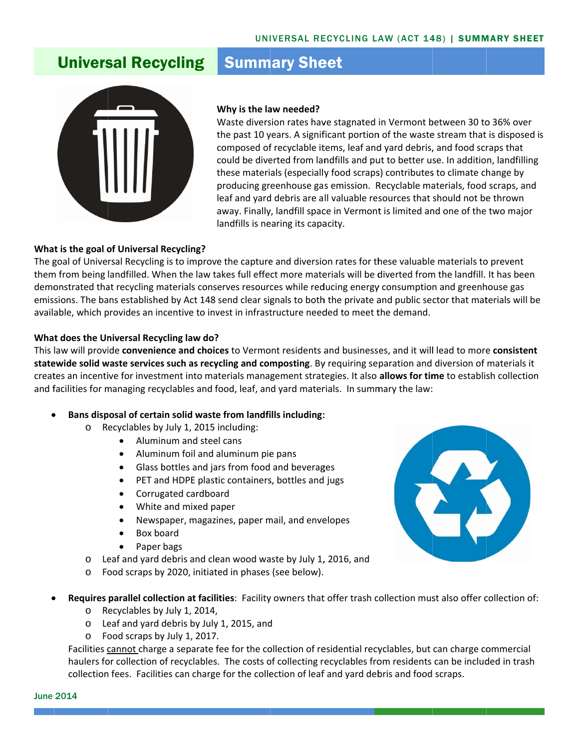## **Universal Recycling**

# **Summary Sheet**



### **Why is the la aw needed?**

Waste diversion rates have stagnated in Vermont between 30 to 36% over the past 10 years. A significant portion of the waste stream that is disposed is composed of recyclable items, leaf and yard debris, and food scraps that could be diverted from landfills and put to better use. In addition, landfilling these materials (especially food scraps) contributes to climate change by producing gr eenhouse ga s emission. R Recyclable ma aterials, food scraps, and leaf and yard debris are all valuable resources that should not be thrown away. Finally, landfill space in Vermont is limited and one of the two major landfills is nearing its capacity.

#### **Wha t is the goal o of Universal R Recycling?**

The goal of Universal Recycling is to improve the capture and diversion rates for these valuable materials to prevent them from being landfilled. When the law takes full effect more materials will be diverted from the landfill. It has been demonstrated that recycling materials conserves resources while reducing energy consumption and greenhouse gas emissions. The bans established by Act 148 send clear signals to both the private and public sector that materials will be available, which provides an incentive to invest in infrastructure needed to meet the demand.

### **Wha t does the Un niversal Recy ycling law do?**

**What does the Universal Recycling law do?**<br>This law will provide **convenience and choices** to Vermont residents and businesses, and it will lead to more **consistent** statewide solid waste services such as recycling and composting. By requiring separation and diversion of materials it creates an incentive for investment into materials management strategies. It also allows for time to establish collection and facilities for managing recyclables and food, leaf, and yard materials. In summary the law:

- $\bullet$  **Bans disp posal of certa in solid waste e from landfi ills including**:
	- o Recyclables by July 1, 2015 including:
		- Aluminum and steel cans
		- Alumin num foil and aluminum pie e pans
		- Glass bottles and jars from food and beverages
		- PET and HDPE plastic containers, bottles and jugs
		- Corrugated cardboard
		- White and mixed p aper
		- Newspaper, magazines, paper mail, and envelopes
		- Box board
		- Paper bags
	- o Leaf and yard debris and clean wood waste by July 1, 2016, and
	- o Food scraps by 2020, initiated in phases (see below).
- $\bullet$ **• Requires parallel collection at facilities: Facility owners that offer trash collection must also offer collection of:** 
	- o Recyclables by July 1, 2014,
	- ⊙ Recyclables by July 1, 2014,<br>○ Leaf and yard debris by July 1, 2015, and
	- o Food scraps by July 1, 2017.

Facilities cannot charge a separate fee for the collection of residential recyclables, but can charge commercial haulers for collection of recyclables. The costs of collecting recyclables from residents can be included in trash collection fees. Facilities can charge for the collection of leaf and yard debris and food scraps.